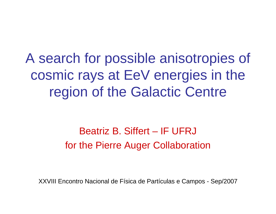A search for possible anisotropies of cosmic rays at EeV energies in the region of the Galactic Centre

# Beatriz B. Siffert – IF UFRJfor the Pierre Auger Collaboration

XXVIII Encontro Nacional de Física de Partículas e Campos - Sep/2007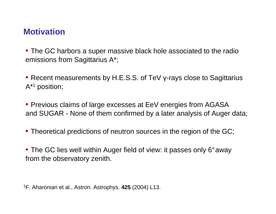# **Motivation**

• The GC harbors a super massive black hole associated to the radioemissions from Sagittarius A\*;

• Recent measurements by H.E.S.S. of TeV γ-rays close to Sagittarius<br>A#4 A\*1 position;

• Previous claims of large excesses at EeV energies from AGASA and SUGAR - None of them confirmed by a later analysis of Auger data;

• Theoretical predictions of neutron sources in the region of the GC;

• The GC lies well within Auger field of view: it passes only 6°awayfrom the observatory zenith.

<sup>1</sup>F. Aharonian et al., Astron. Astrophys. **425** (2004) L13.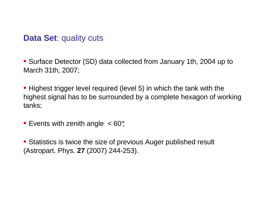### **Data Set**: quality cuts

• Surface Detector (SD) data collected from January 1th, 2004 up toMarch 31th, 2007;

• Highest trigger level required (level 5) in which the tank with the highest signal has to be surrounded by a complete hexagon of workingtanks;

• Events with zenith angle  $~< 60^{\circ}$ 

• Statistics is twice the size of previous Auger published result (Astropart. Phys. **27** (2007) 244-253).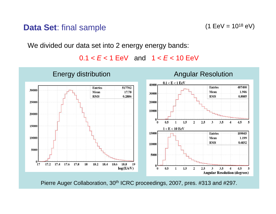#### **Data Set**: final sample

 $(1 \text{ EeV} = 10^{18} \text{ eV})$ 

We divided our data set into 2 energy energy bands:

 $0.1 < E < 1$  EeV and  $1 < E < 10$  EeV



Pierre Auger Collaboration, 30<sup>th</sup> ICRC proceedings, 2007, pres. #313 and #297.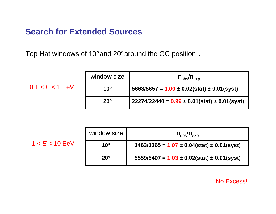# **Search for Extended Sources**

 $0.1 < E < 1$  EeV

 $1 < E < 10$  EeV

Top Hat windows of 10°and 20°around the GC position .

| window size  | $n_{\text{obs}}/n_{\text{exp}}$                    |
|--------------|----------------------------------------------------|
| $10^{\circ}$ | $5663/5657 = 1.00 \pm 0.02(stat) \pm 0.01(syst)$   |
| $20^{\circ}$ | $22274/22440 = 0.99 \pm 0.01(stat) \pm 0.01(syst)$ |

| window size  | $n_{\text{obs}}/n_{\text{exp}}$                  |
|--------------|--------------------------------------------------|
| $10^{\circ}$ | $1463/1365 = 1.07 \pm 0.04(stat) \pm 0.01(syst)$ |
| $20^\circ$   | $5559/5407 = 1.03 \pm 0.02(stat) \pm 0.01(syst)$ |

No Excess!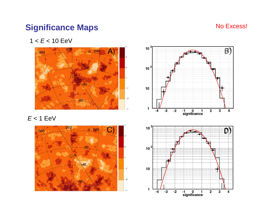# **Significance Maps**

#### No Excess!

 $1 < E < 10$  EeV



 $E < 1$  EeV



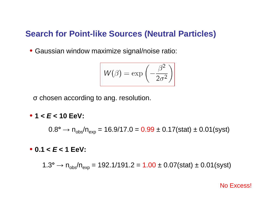#### **Search for Point-like Sources (Neutral Particles)**

• Gaussian window maximize signal/noise ratio:

$$
W(\beta) = \exp\left(-\frac{\beta^2}{2\sigma^2}\right)
$$

σ chosen according to ang. resolution.

• **1 < E < 10 EeV:**

 $0.8^{\circ} \rightarrow$  n<sub>obs</sub>/n<sub>exp</sub> = 16.9/17.0 =  $0.99 \pm 0.17 ({\rm stat}) \pm 0.01 ({\rm syst})$ 

• **0.1 < E < 1 EeV:**

1.3° → n<sub>obs</sub>/n<sub>exp</sub> = 192.1/191.2 = 1.00 ± 0.07(stat) ± 0.01(syst)

No Excess!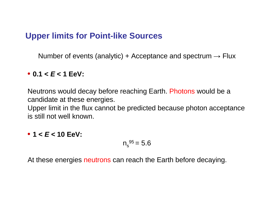### **Upper limits for Point-like Sources**

Number of events (analytic) + Acceptance and spectrum  $\rightarrow$  Flux

# • **0.1 < E < 1 EeV:**

Neutrons would decay before reaching Earth. Photons would be a candidate at these energies.

Upper limit in the flux cannot be predicted because photon acceptance is still not well known.

# • **1 < E < 10 EeV:**

$$
n_s^{95}=5.6
$$

At these energies neutrons can reach the Earth before decaying.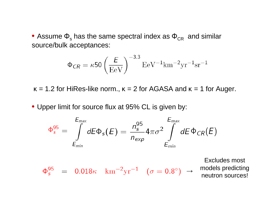• Assume  $\Phi_{\rm s}$  has the same spectral index as  $\Phi_{\rm CR}$  and similar source/bulk acceptances:

$$
\Phi_{CR} = \kappa 50 \left(\frac{E}{\text{EeV}}\right)^{-3.3} \text{EeV}^{-1} \text{km}^{-2} \text{yr}^{-1} \text{sr}^{-1}
$$

 $\kappa$  = 1.2 for HiRes-like norm.,  $\kappa$  = 2 for AGASA and  $\kappa$  = 1 for Auger.

• Upper limit for source flux at 95% CL is given by:

$$
\Phi_s^{95} = \int\limits_{E_{min}}^{E_{max}} dE \Phi_s(E) = \frac{n_s^{95}}{n_{exp}} 4\pi \sigma^2 \int\limits_{E_{min}}^{E_{max}} dE \Phi_{CR}(E)
$$

 $\Phi_s^{95} = 0.018\kappa \ \ \mathrm{km^{-2}yr^{-1}} \ \ (\sigma = 0.8^{\circ}) \ \rightarrow$ 

Excludes most models predicting neutron sources!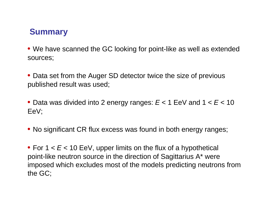# **Summary**

• We have scanned the GC looking for point-like as well as extendedsources;

• Data set from the Auger SD detector twice the size of previouspublished result was used;

 $\bullet$  Data was divided into 2 energy ranges:  $E$  < 1 EeV and 1 <  $E$  < 10 EeV;

• No significant CR flux excess was found in both energy ranges;

• For 1 <  $E$  < 10 EeV, upper limits on the flux of a hypothetical point-like neutron source in the direction of Sagittarius A\* were imposed which excludes most of the models predicting neutrons fromthe GC;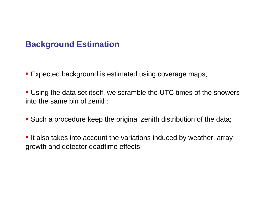# **Background Estimation**

- Expected background is estimated using coverage maps;
- Using the data set itself, we scramble the UTC times of the showersinto the same bin of zenith;
- Such a procedure keep the original zenith distribution of the data;
- It also takes into account the variations induced by weather, arraygrowth and detector deadtime effects;